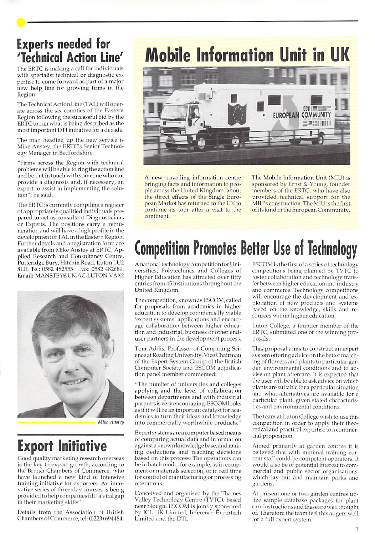### Experts needed for 'Technical Action Line'

The ERTC is making a call for individuals with specialist technical or diagnostic expertise to come forward as part of a major new help line for growing firms in the Region.

The Technical Action Line (TAL) will operate across the six counties of the Eastern Region following the successful bid by the ERTC to run what is being described as the most important DTI initiative for a decade.

The man heading up the new service is Mike Anstey, the ERTC's Senior Technol ogy Manager in Bedfordshire.

"Firms across the Region with technical problems will be able to ring the action line and be put in touch with someone who can provide a diagnosis and, if necessary, an expert to assist in implementing the solu tion", he said.

The ERTC is currently compiling a register of appropriately qualified individuals prepared to act as consultant Diagnosticians or Experts. The positions carry a remu neration and will have a high profile in the development of TAL in the Eastern Region. Further details and a registration form are available from Mike Anstey at ERTC, Applied Research and Consultancy Centre, Putteridge Bury, Hitchin Road, Luton LU2 8LE. Tel: 0582 482555 Fax: 0582 482689. Email: MANSTEY@UK.AC.LUTON.VAX2



Mike Anstey

## Export Initiative

Good quality marketing research overseas is the key to export growth, according to the British Chambers of Commerce, who have launched a new kind of intensive training initiative for exporters. An inno vative series of three-day courses is being provided to help companies fill "a vital gap in their marketing skills".

Details from the Association of British Chambers of Commerce, tel: (0223) 694484.

## **Mobile Information Unit in UK**



A new travelling information centre bringing facts and information to peo ple across the United Kingdom about the direct effects of the Single Euro pean Market has returned to the UK to continue its tour after a visit to the continent.

The Mobile Information Unit (MIU) is sponsored by Ernst & Young, founder members of the ERTC, who have also provided technical support for the MIU's construction. The MIU is the first of its kind in the European Community.

## Competition Promotes Better Use of Technology

A national technology competition for Uni versities, Polytechnics and Colleges of Higher Education has attracted over fifty entries from 45 institutions throughout the United Kingdom.

The competition, known as ESCOM, called for proposals from academics in higher education to develop commercially viable 'expert systems' applications and encour age collaboration between higher educa tion and industrial, business or other enduser partners in the development process.

Tom Addis, Professor of Computing Science at Reading University, Vice Chairman of the Expert System Group of the British Computer Society and ESCOM adjudication panel member commented:

'The number of universities and colleges applying and the level of collaboration between departments and with industrial partners is very encouraging. ESCOM looks as if it will be an important catalyst for academics to turn their ideas and knowledge into commercially worthwhile products.'

Expert systemsareacompu ter based means of comparing actual data and information againsta known knowledge base,and mak ing deductions and reaching decisions based on this process. The operations can be in batch mode, for example, as in equip ment or materials selection, or in real time for control of manufacturing or processing operations.

Conceived and organised by the Thames Valley Technology Centre (TVTC), based near Slough, ESCOM is jointly sponsored by ICL UK Limited, Inference Expertech Limited and the DTI.

ESCOM is the first of a series of technology competitions being planned by TVTC to foster collaboration and technology trans fer between higher education and industry and commerce. Technology competitions will encourage the development and ex ploitation of new products and systems based on the knowledge, skills and re sources within higher education.

Luton College, a founder member of the ERTC, submitted one of the winning pro posals.

This proposal aims to construct an expert system offering advice on the better match ing of flowers and plants to particular gar den environmental conditions and to ad vise on plant aftercare. It is expected that the user will be able to ask advice on which plants are suitable for a particular situation and what alternatives are available for a particular plant, given stated characteris tics and environmental conditions.

The team at Luton College wish to use this competition in order to apply their theo retical and practical expertise to a commer cial proposition.

Aimed primarily at garden centres it is believed that with minimal training current staff could be competent operators. It would also be of potential interest to com mercial and public sector organisations, which lay out and maintain parks and gardens.

At present one or two garden centres uti lize sample database packages for plant careinstruclionsand theseare well thought of. Therefore the team feel this augers well for a full expert system.